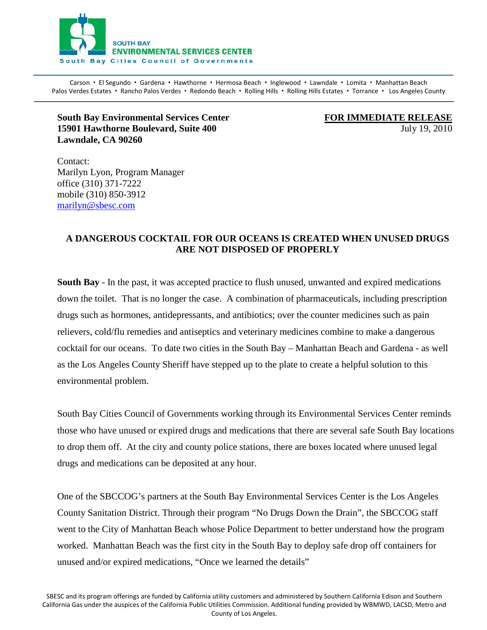

Carson · El Segundo · Gardena · Hawthorne · Hermosa Beach · Inglewood · Lawndale · Lomita · Manhattan Beach Palos Verdes Estates · Rancho Palos Verdes · Redondo Beach · Rolling Hills · Rolling Hills Estates · Torrance · Los Angeles County  $\blacksquare$ 

## **South Bay Environmental Services Center 15901 Hawthorne Boulevard, Suite 400** July 19, 2010 **Lawndale, CA 90260**

**FOR IMMEDIATE RELEASE**

Contact: Marilyn Lyon, Program Manager office (310) 371-7222 mobile (310) 850-3912 [marilyn@sbesc.com](mailto:marilyn@sbesc.com)

## **A DANGEROUS COCKTAIL FOR OUR OCEANS IS CREATED WHEN UNUSED DRUGS ARE NOT DISPOSED OF PROPERLY**

**South Bay** - In the past, it was accepted practice to flush unused, unwanted and expired medications down the toilet. That is no longer the case. A combination of pharmaceuticals, including prescription drugs such as hormones, antidepressants, and antibiotics; over the counter medicines such as pain relievers, cold/flu remedies and antiseptics and veterinary medicines combine to make a dangerous cocktail for our oceans. To date two cities in the South Bay – Manhattan Beach and Gardena - as well as the Los Angeles County Sheriff have stepped up to the plate to create a helpful solution to this environmental problem.

South Bay Cities Council of Governments working through its Environmental Services Center reminds those who have unused or expired drugs and medications that there are several safe South Bay locations to drop them off. At the city and county police stations, there are boxes located where unused legal drugs and medications can be deposited at any hour.

One of the SBCCOG's partners at the South Bay Environmental Services Center is the Los Angeles County Sanitation District. Through their program "No Drugs Down the Drain", the SBCCOG staff went to the City of Manhattan Beach whose Police Department to better understand how the program worked. Manhattan Beach was the first city in the South Bay to deploy safe drop off containers for unused and/or expired medications, "Once we learned the details"